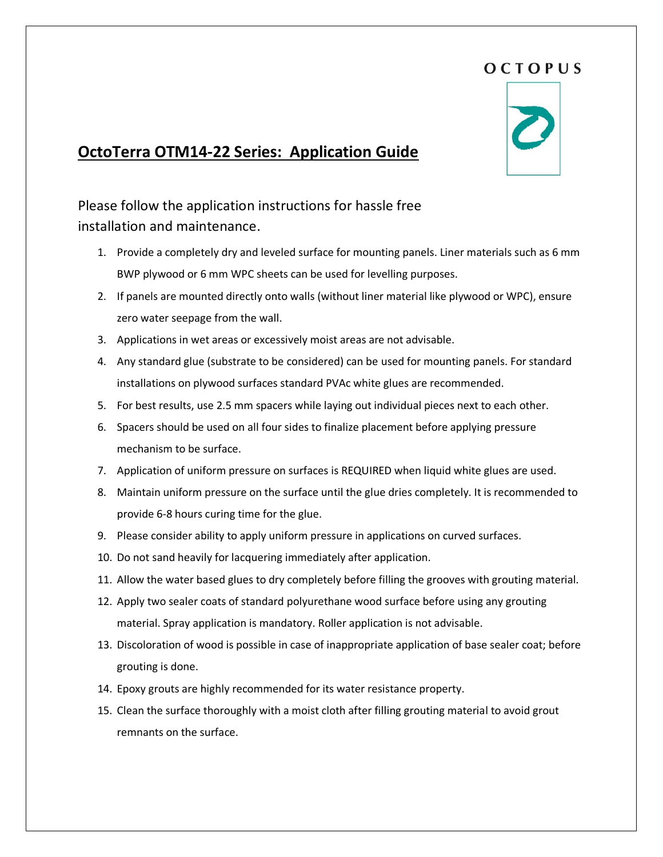## OCTOPUS



## **OctoTerra OTM14-22 Series: Application Guide**

Please follow the application instructions for hassle free installation and maintenance.

- 1. Provide a completely dry and leveled surface for mounting panels. Liner materials such as 6 mm BWP plywood or 6 mm WPC sheets can be used for levelling purposes.
- 2. If panels are mounted directly onto walls (without liner material like plywood or WPC), ensure zero water seepage from the wall.
- 3. Applications in wet areas or excessively moist areas are not advisable.
- 4. Any standard glue (substrate to be considered) can be used for mounting panels. For standard installations on plywood surfaces standard PVAc white glues are recommended.
- 5. For best results, use 2.5 mm spacers while laying out individual pieces next to each other.
- 6. Spacers should be used on all four sides to finalize placement before applying pressure mechanism to be surface.
- 7. Application of uniform pressure on surfaces is REQUIRED when liquid white glues are used.
- 8. Maintain uniform pressure on the surface until the glue dries completely. It is recommended to provide 6-8 hours curing time for the glue.
- 9. Please consider ability to apply uniform pressure in applications on curved surfaces.
- 10. Do not sand heavily for lacquering immediately after application.
- 11. Allow the water based glues to dry completely before filling the grooves with grouting material.
- 12. Apply two sealer coats of standard polyurethane wood surface before using any grouting material. Spray application is mandatory. Roller application is not advisable.
- 13. Discoloration of wood is possible in case of inappropriate application of base sealer coat; before grouting is done.
- 14. Epoxy grouts are highly recommended for its water resistance property.
- 15. Clean the surface thoroughly with a moist cloth after filling grouting material to avoid grout remnants on the surface.